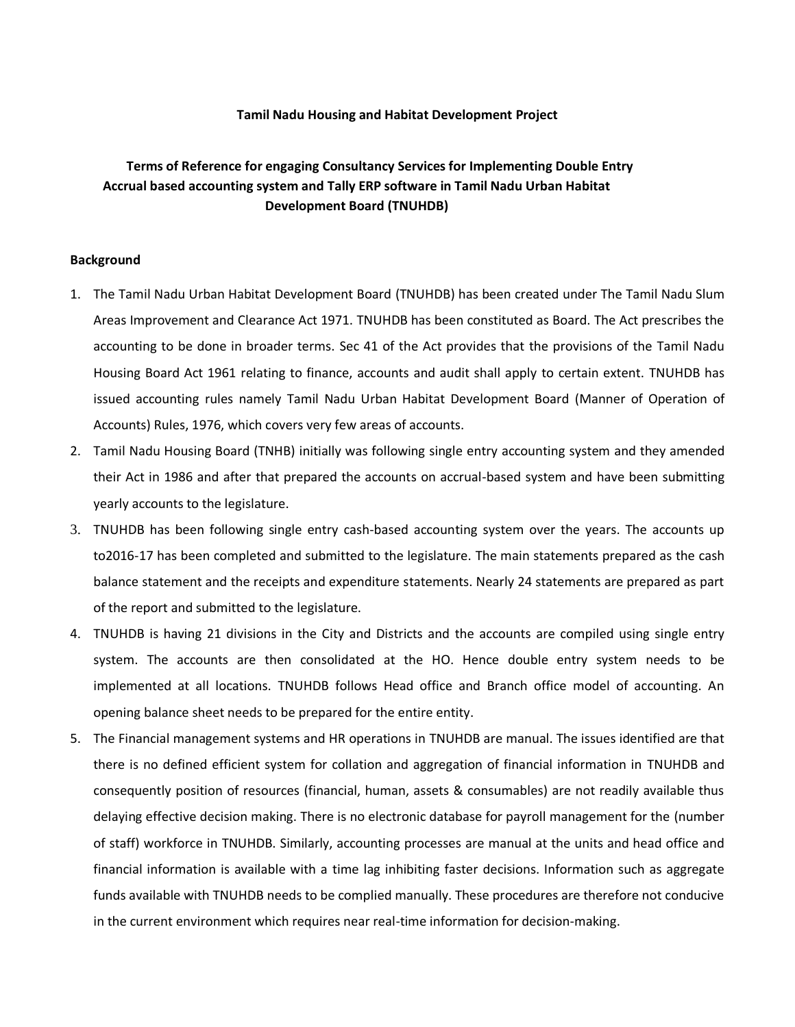#### **Tamil Nadu Housing and Habitat Development Project**

# **Terms of Reference for engaging Consultancy Services for Implementing Double Entry Accrual based accounting system and Tally ERP software in Tamil Nadu Urban Habitat Development Board (TNUHDB)**

#### **Background**

- 1. The Tamil Nadu Urban Habitat Development Board (TNUHDB) has been created under The Tamil Nadu Slum Areas Improvement and Clearance Act 1971. TNUHDB has been constituted as Board. The Act prescribes the accounting to be done in broader terms. Sec 41 of the Act provides that the provisions of the Tamil Nadu Housing Board Act 1961 relating to finance, accounts and audit shall apply to certain extent. TNUHDB has issued accounting rules namely Tamil Nadu Urban Habitat Development Board (Manner of Operation of Accounts) Rules, 1976, which covers very few areas of accounts.
- 2. Tamil Nadu Housing Board (TNHB) initially was following single entry accounting system and they amended their Act in 1986 and after that prepared the accounts on accrual-based system and have been submitting yearly accounts to the legislature.
- 3. TNUHDB has been following single entry cash-based accounting system over the years. The accounts up to2016-17 has been completed and submitted to the legislature. The main statements prepared as the cash balance statement and the receipts and expenditure statements. Nearly 24 statements are prepared as part of the report and submitted to the legislature.
- 4. TNUHDB is having 21 divisions in the City and Districts and the accounts are compiled using single entry system. The accounts are then consolidated at the HO. Hence double entry system needs to be implemented at all locations. TNUHDB follows Head office and Branch office model of accounting. An opening balance sheet needs to be prepared for the entire entity.
- 5. The Financial management systems and HR operations in TNUHDB are manual. The issues identified are that there is no defined efficient system for collation and aggregation of financial information in TNUHDB and consequently position of resources (financial, human, assets & consumables) are not readily available thus delaying effective decision making. There is no electronic database for payroll management for the (number of staff) workforce in TNUHDB. Similarly, accounting processes are manual at the units and head office and financial information is available with a time lag inhibiting faster decisions. Information such as aggregate funds available with TNUHDB needs to be complied manually. These procedures are therefore not conducive in the current environment which requires near real-time information for decision-making.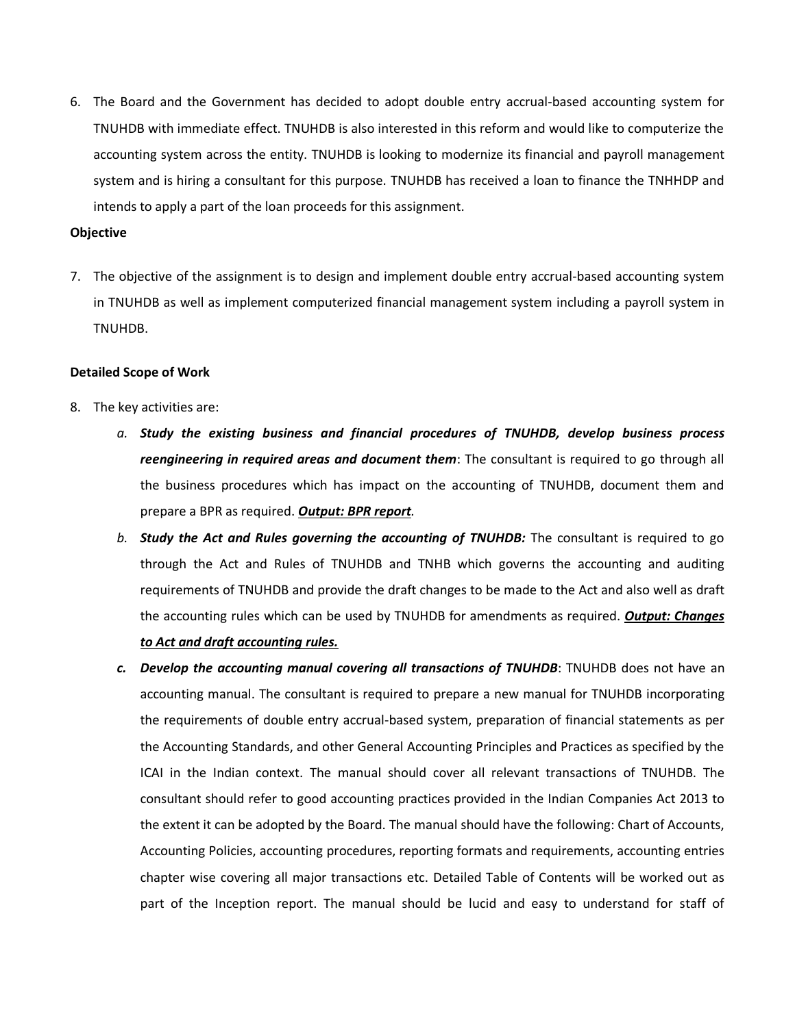6. The Board and the Government has decided to adopt double entry accrual-based accounting system for TNUHDB with immediate effect. TNUHDB is also interested in this reform and would like to computerize the accounting system across the entity. TNUHDB is looking to modernize its financial and payroll management system and is hiring a consultant for this purpose. TNUHDB has received a loan to finance the TNHHDP and intends to apply a part of the loan proceeds for this assignment.

#### **Objective**

7. The objective of the assignment is to design and implement double entry accrual-based accounting system in TNUHDB as well as implement computerized financial management system including a payroll system in TNUHDB.

#### **Detailed Scope of Work**

- 8. The key activities are:
	- *a. Study the existing business and financial procedures of TNUHDB, develop business process reengineering in required areas and document them*: The consultant is required to go through all the business procedures which has impact on the accounting of TNUHDB, document them and prepare a BPR as required. *Output: BPR report.*
	- *b. Study the Act and Rules governing the accounting of TNUHDB:* The consultant is required to go through the Act and Rules of TNUHDB and TNHB which governs the accounting and auditing requirements of TNUHDB and provide the draft changes to be made to the Act and also well as draft the accounting rules which can be used by TNUHDB for amendments as required. *Output: Changes to Act and draft accounting rules.*
	- *c. Develop the accounting manual covering all transactions of TNUHDB*: TNUHDB does not have an accounting manual. The consultant is required to prepare a new manual for TNUHDB incorporating the requirements of double entry accrual-based system, preparation of financial statements as per the Accounting Standards, and other General Accounting Principles and Practices as specified by the ICAI in the Indian context. The manual should cover all relevant transactions of TNUHDB. The consultant should refer to good accounting practices provided in the Indian Companies Act 2013 to the extent it can be adopted by the Board. The manual should have the following: Chart of Accounts, Accounting Policies, accounting procedures, reporting formats and requirements, accounting entries chapter wise covering all major transactions etc. Detailed Table of Contents will be worked out as part of the Inception report. The manual should be lucid and easy to understand for staff of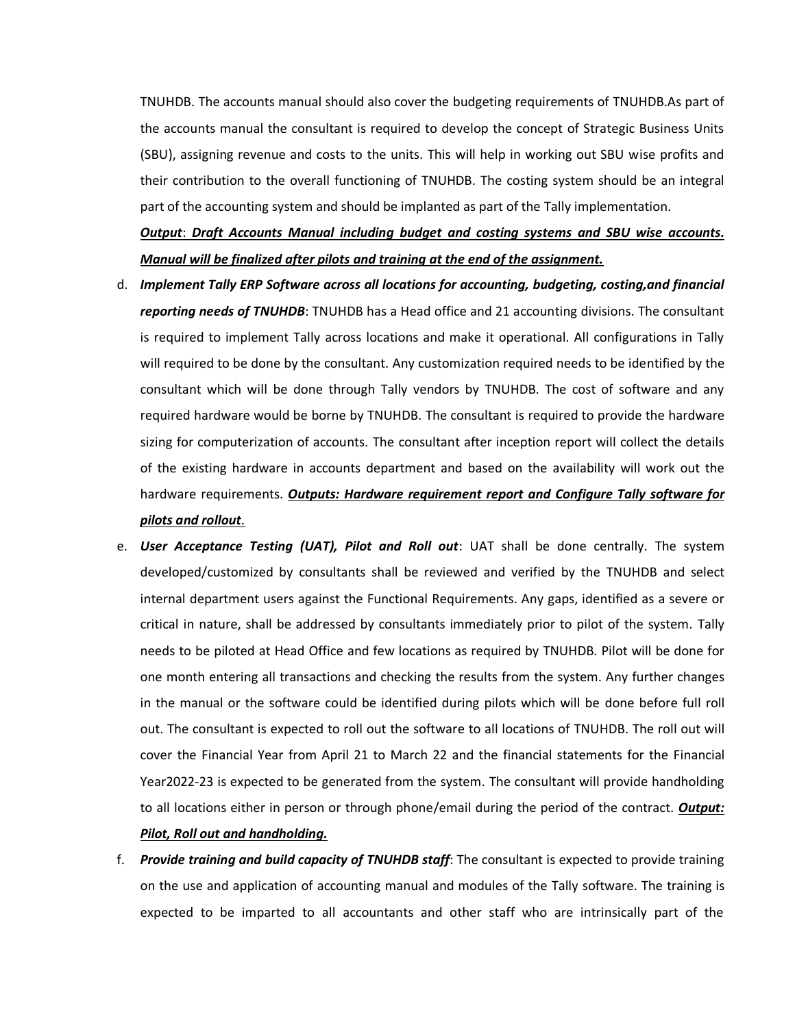TNUHDB. The accounts manual should also cover the budgeting requirements of TNUHDB.As part of the accounts manual the consultant is required to develop the concept of Strategic Business Units (SBU), assigning revenue and costs to the units. This will help in working out SBU wise profits and their contribution to the overall functioning of TNUHDB. The costing system should be an integral part of the accounting system and should be implanted as part of the Tally implementation.

# *Output*: *Draft Accounts Manual including budget and costing systems and SBU wise accounts. Manual will be finalized after pilots and training at the end of the assignment.*

- d. *Implement Tally ERP Software across all locations for accounting, budgeting, costing,and financial reporting needs of TNUHDB*: TNUHDB has a Head office and 21 accounting divisions. The consultant is required to implement Tally across locations and make it operational. All configurations in Tally will required to be done by the consultant. Any customization required needs to be identified by the consultant which will be done through Tally vendors by TNUHDB. The cost of software and any required hardware would be borne by TNUHDB. The consultant is required to provide the hardware sizing for computerization of accounts. The consultant after inception report will collect the details of the existing hardware in accounts department and based on the availability will work out the hardware requirements. *Outputs: Hardware requirement report and Configure Tally software for pilots and rollout*.
- e. *User Acceptance Testing (UAT), Pilot and Roll out*: UAT shall be done centrally. The system developed/customized by consultants shall be reviewed and verified by the TNUHDB and select internal department users against the Functional Requirements. Any gaps, identified as a severe or critical in nature, shall be addressed by consultants immediately prior to pilot of the system. Tally needs to be piloted at Head Office and few locations as required by TNUHDB. Pilot will be done for one month entering all transactions and checking the results from the system. Any further changes in the manual or the software could be identified during pilots which will be done before full roll out. The consultant is expected to roll out the software to all locations of TNUHDB. The roll out will cover the Financial Year from April 21 to March 22 and the financial statements for the Financial Year2022-23 is expected to be generated from the system. The consultant will provide handholding to all locations either in person or through phone/email during the period of the contract. *Output: Pilot, Roll out and handholding.*
- f. *Provide training and build capacity of TNUHDB staff*: The consultant is expected to provide training on the use and application of accounting manual and modules of the Tally software. The training is expected to be imparted to all accountants and other staff who are intrinsically part of the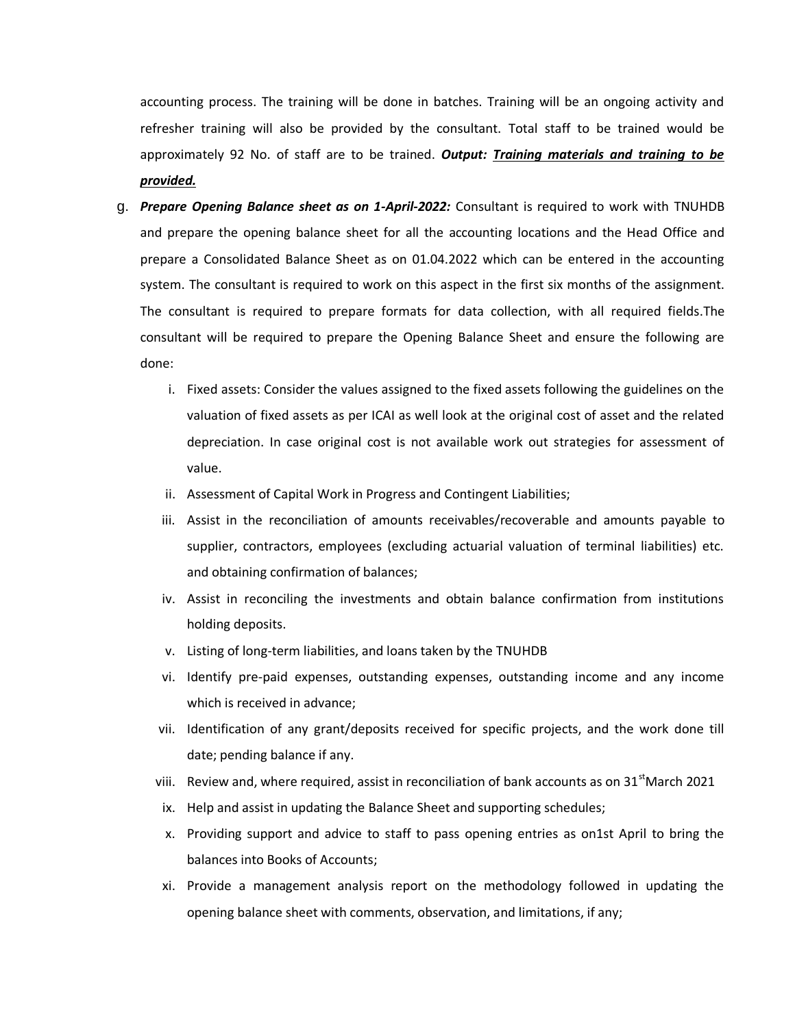accounting process. The training will be done in batches. Training will be an ongoing activity and refresher training will also be provided by the consultant. Total staff to be trained would be approximately 92 No. of staff are to be trained. *Output: Training materials and training to be provided.*

- g. *Prepare Opening Balance sheet as on 1-April-2022:* Consultant is required to work with TNUHDB and prepare the opening balance sheet for all the accounting locations and the Head Office and prepare a Consolidated Balance Sheet as on 01.04.2022 which can be entered in the accounting system. The consultant is required to work on this aspect in the first six months of the assignment. The consultant is required to prepare formats for data collection, with all required fields.The consultant will be required to prepare the Opening Balance Sheet and ensure the following are done:
	- i. Fixed assets: Consider the values assigned to the fixed assets following the guidelines on the valuation of fixed assets as per ICAI as well look at the original cost of asset and the related depreciation. In case original cost is not available work out strategies for assessment of value.
	- ii. Assessment of Capital Work in Progress and Contingent Liabilities;
	- iii. Assist in the reconciliation of amounts receivables/recoverable and amounts payable to supplier, contractors, employees (excluding actuarial valuation of terminal liabilities) etc. and obtaining confirmation of balances;
	- iv. Assist in reconciling the investments and obtain balance confirmation from institutions holding deposits.
	- v. Listing of long-term liabilities, and loans taken by the TNUHDB
	- vi. Identify pre-paid expenses, outstanding expenses, outstanding income and any income which is received in advance;
	- vii. Identification of any grant/deposits received for specific projects, and the work done till date; pending balance if any.
	- viii. Review and, where required, assist in reconciliation of bank accounts as on 31<sup>st</sup>March 2021
	- ix. Help and assist in updating the Balance Sheet and supporting schedules;
	- x. Providing support and advice to staff to pass opening entries as on1st April to bring the balances into Books of Accounts;
	- xi. Provide a management analysis report on the methodology followed in updating the opening balance sheet with comments, observation, and limitations, if any;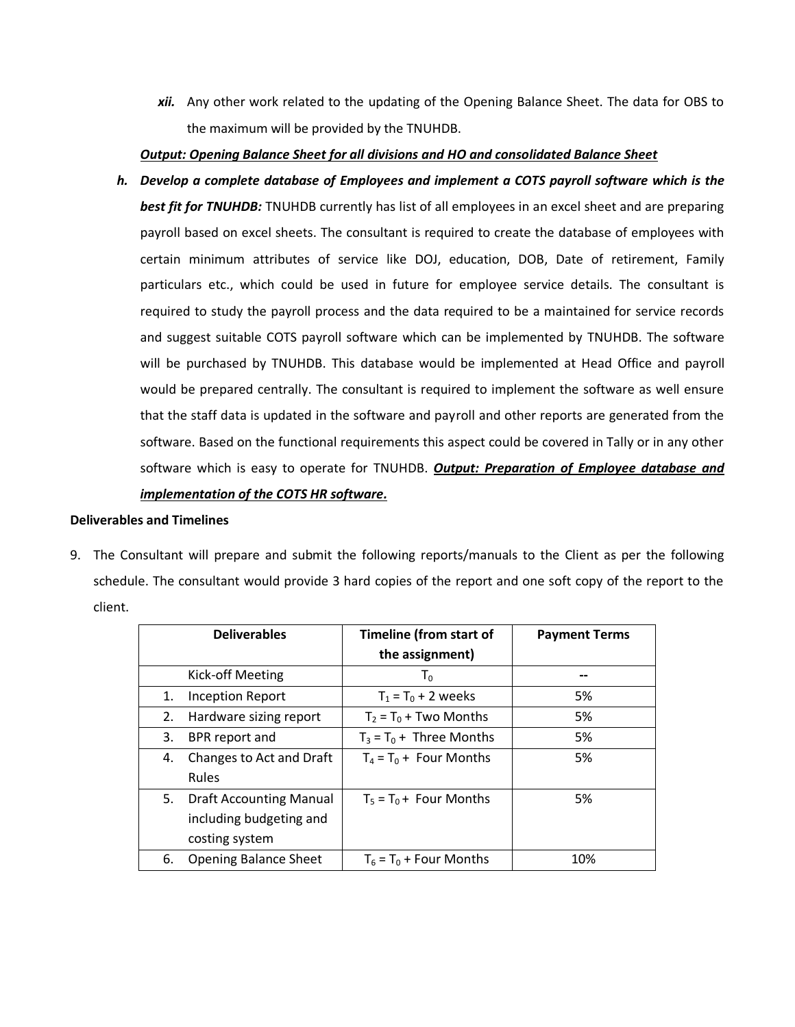*xii.* Any other work related to the updating of the Opening Balance Sheet. The data for OBS to the maximum will be provided by the TNUHDB.

## *Output: Opening Balance Sheet for all divisions and HO and consolidated Balance Sheet*

*h. Develop a complete database of Employees and implement a COTS payroll software which is the best fit for TNUHDB:* TNUHDB currently has list of all employees in an excel sheet and are preparing payroll based on excel sheets. The consultant is required to create the database of employees with certain minimum attributes of service like DOJ, education, DOB, Date of retirement, Family particulars etc., which could be used in future for employee service details. The consultant is required to study the payroll process and the data required to be a maintained for service records and suggest suitable COTS payroll software which can be implemented by TNUHDB. The software will be purchased by TNUHDB. This database would be implemented at Head Office and payroll would be prepared centrally. The consultant is required to implement the software as well ensure that the staff data is updated in the software and payroll and other reports are generated from the software. Based on the functional requirements this aspect could be covered in Tally or in any other software which is easy to operate for TNUHDB. *Output: Preparation of Employee database and implementation of the COTS HR software.*

## **Deliverables and Timelines**

9. The Consultant will prepare and submit the following reports/manuals to the Client as per the following schedule. The consultant would provide 3 hard copies of the report and one soft copy of the report to the client.

| <b>Deliverables</b> |                                | <b>Timeline (from start of</b> | <b>Payment Terms</b> |
|---------------------|--------------------------------|--------------------------------|----------------------|
|                     |                                | the assignment)                |                      |
|                     | Kick-off Meeting               | $T_0$                          |                      |
| 1.                  | <b>Inception Report</b>        | $T_1 = T_0 + 2$ weeks          | 5%                   |
| 2.                  | Hardware sizing report         | $T_2 = T_0 + Two$ Months       | 5%                   |
| 3.                  | BPR report and                 | $T_3 = T_0 +$ Three Months     | 5%                   |
| 4.                  | Changes to Act and Draft       | $T_4 = T_0 +$ Four Months      | 5%                   |
|                     | <b>Rules</b>                   |                                |                      |
| 5.                  | <b>Draft Accounting Manual</b> | $T_5 = T_0 +$ Four Months      | 5%                   |
|                     | including budgeting and        |                                |                      |
|                     | costing system                 |                                |                      |
| 6.                  | <b>Opening Balance Sheet</b>   | $T_6 = T_0 +$ Four Months      | 10%                  |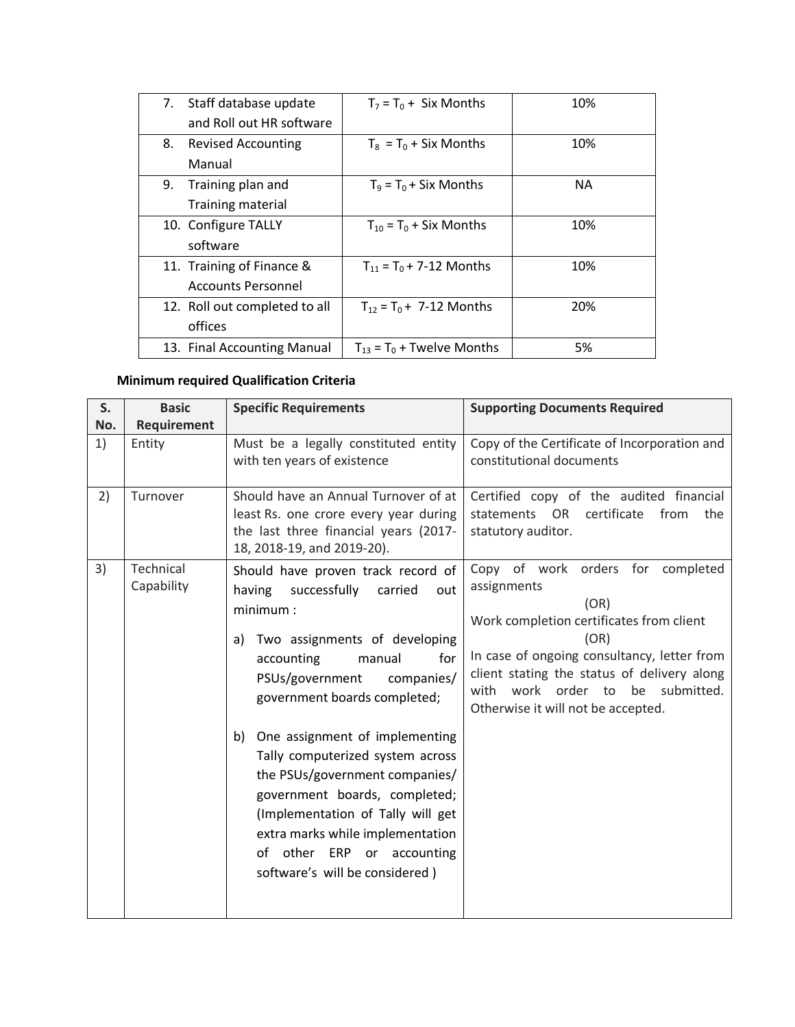| 7. | Staff database update         | $T_7 = T_0 + Six$ Months                  | 10%       |
|----|-------------------------------|-------------------------------------------|-----------|
|    | and Roll out HR software      |                                           |           |
| 8. | <b>Revised Accounting</b>     | $T_8 = T_0 + Six$ Months                  | 10%       |
|    | Manual                        |                                           |           |
| 9. | Training plan and             | $T_9 = T_0 + Six$ Months                  | <b>NA</b> |
|    | Training material             |                                           |           |
|    | 10. Configure TALLY           | $T_{10} = T_0 + Six$ Months               | 10%       |
|    | software                      |                                           |           |
|    | 11. Training of Finance &     | $T_{11} = T_0 + 7 - 12$ Months            | 10%       |
|    | <b>Accounts Personnel</b>     |                                           |           |
|    | 12. Roll out completed to all | $T_{12} = T_0 + 7 - 12$ Months            | 20%       |
|    | offices                       |                                           |           |
|    | 13. Final Accounting Manual   | $T_{13}$ = T <sub>0</sub> + Twelve Months | 5%        |

# **Minimum required Qualification Criteria**

| S.  | <b>Basic</b>            | <b>Specific Requirements</b>                                                                                                                                                                                                                                                                                                                                                                                                                                                                                              | <b>Supporting Documents Required</b>                                                                                                                                                                                                                                                       |
|-----|-------------------------|---------------------------------------------------------------------------------------------------------------------------------------------------------------------------------------------------------------------------------------------------------------------------------------------------------------------------------------------------------------------------------------------------------------------------------------------------------------------------------------------------------------------------|--------------------------------------------------------------------------------------------------------------------------------------------------------------------------------------------------------------------------------------------------------------------------------------------|
| No. | Requirement             |                                                                                                                                                                                                                                                                                                                                                                                                                                                                                                                           |                                                                                                                                                                                                                                                                                            |
| 1)  | Entity                  | Must be a legally constituted entity<br>with ten years of existence                                                                                                                                                                                                                                                                                                                                                                                                                                                       | Copy of the Certificate of Incorporation and<br>constitutional documents                                                                                                                                                                                                                   |
| 2)  | Turnover                | Should have an Annual Turnover of at<br>least Rs. one crore every year during<br>the last three financial years (2017-<br>18, 2018-19, and 2019-20).                                                                                                                                                                                                                                                                                                                                                                      | Certified copy of the audited financial<br>statements OR<br>certificate<br>from<br>the<br>statutory auditor.                                                                                                                                                                               |
| 3)  | Technical<br>Capability | Should have proven track record of<br>successfully<br>having<br>carried<br>out<br>minimum:<br>Two assignments of developing<br>a)<br>accounting<br>manual<br>for<br>PSUs/government<br>companies/<br>government boards completed;<br>One assignment of implementing<br>b)<br>Tally computerized system across<br>the PSUs/government companies/<br>government boards, completed;<br>(Implementation of Tally will get<br>extra marks while implementation<br>of other ERP or accounting<br>software's will be considered) | Copy of work orders for completed<br>assignments<br>(OR)<br>Work completion certificates from client<br>(OR)<br>In case of ongoing consultancy, letter from<br>client stating the status of delivery along<br>work order to<br>be submitted.<br>with<br>Otherwise it will not be accepted. |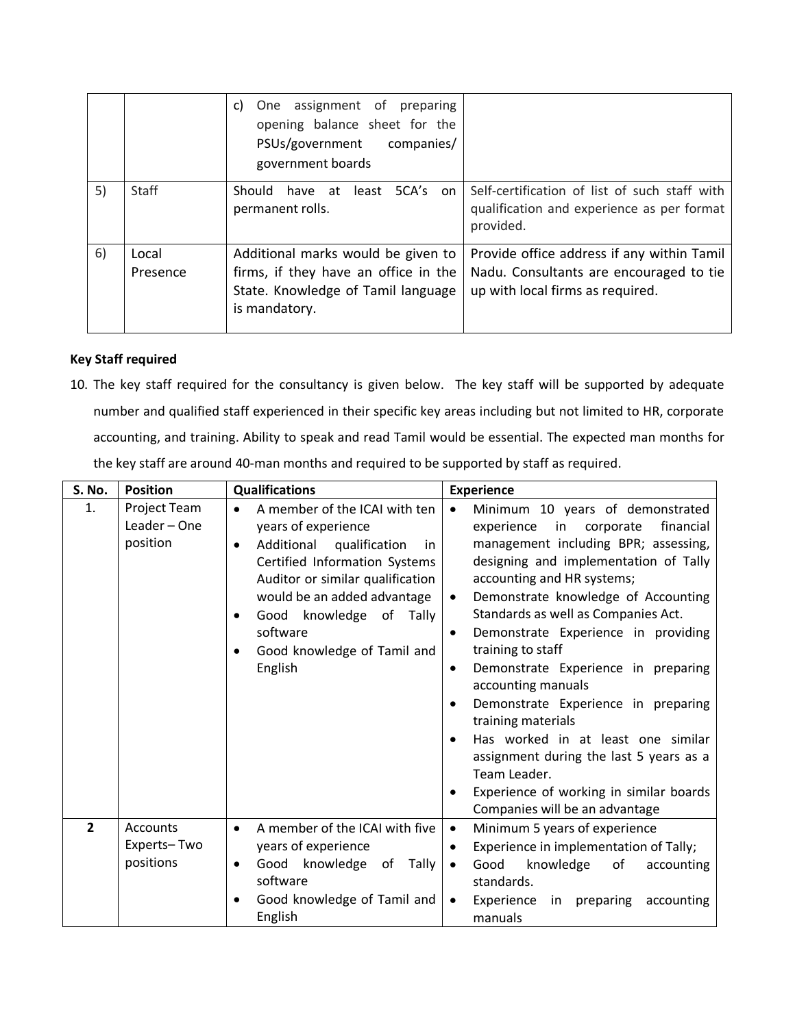|    |                   | One assignment of preparing<br>C)<br>opening balance sheet for the<br>PSUs/government<br>companies/<br>government boards          |                                                                                                                           |
|----|-------------------|-----------------------------------------------------------------------------------------------------------------------------------|---------------------------------------------------------------------------------------------------------------------------|
| 5) | <b>Staff</b>      | Should<br>have at least<br>5CA's<br>on.<br>permanent rolls.                                                                       | Self-certification of list of such staff with<br>qualification and experience as per format<br>provided.                  |
| 6) | Local<br>Presence | Additional marks would be given to<br>firms, if they have an office in the<br>State. Knowledge of Tamil language<br>is mandatory. | Provide office address if any within Tamil<br>Nadu. Consultants are encouraged to tie<br>up with local firms as required. |

## **Key Staff required**

10. The key staff required for the consultancy is given below. The key staff will be supported by adequate number and qualified staff experienced in their specific key areas including but not limited to HR, corporate accounting, and training. Ability to speak and read Tamil would be essential. The expected man months for the key staff are around 40-man months and required to be supported by staff as required.

| <b>S. No.</b>  | <b>Position</b>                          | <b>Qualifications</b>                                                                                                                                                                                                                                                               | <b>Experience</b>                                                                                                                                                                                                                                                                                                                                                                                                                                                                                                                                                                                                                                                 |
|----------------|------------------------------------------|-------------------------------------------------------------------------------------------------------------------------------------------------------------------------------------------------------------------------------------------------------------------------------------|-------------------------------------------------------------------------------------------------------------------------------------------------------------------------------------------------------------------------------------------------------------------------------------------------------------------------------------------------------------------------------------------------------------------------------------------------------------------------------------------------------------------------------------------------------------------------------------------------------------------------------------------------------------------|
| 1.             | Project Team<br>Leader - One<br>position | A member of the ICAI with ten<br>years of experience<br>Additional<br>qualification<br>in<br>٠<br>Certified Information Systems<br>Auditor or similar qualification<br>would be an added advantage<br>Good knowledge of Tally<br>software<br>Good knowledge of Tamil and<br>English | Minimum 10 years of demonstrated<br>in<br>financial<br>experience<br>corporate<br>management including BPR; assessing,<br>designing and implementation of Tally<br>accounting and HR systems;<br>Demonstrate knowledge of Accounting<br>Standards as well as Companies Act.<br>Demonstrate Experience in providing<br>٠<br>training to staff<br>Demonstrate Experience in preparing<br>$\bullet$<br>accounting manuals<br>Demonstrate Experience in preparing<br>training materials<br>Has worked in at least one similar<br>assignment during the last 5 years as a<br>Team Leader.<br>Experience of working in similar boards<br>Companies will be an advantage |
| $\overline{2}$ | Accounts<br>Experts-Two<br>positions     | A member of the ICAI with five<br>$\bullet$<br>years of experience<br>knowledge of<br>Good<br>Tally<br>$\bullet$<br>software<br>Good knowledge of Tamil and<br>٠<br>English                                                                                                         | Minimum 5 years of experience<br>$\bullet$<br>Experience in implementation of Tally;<br>knowledge<br>Good<br>of<br>accounting<br>$\bullet$<br>standards.<br>Experience<br>preparing<br>accounting<br>in<br>$\bullet$<br>manuals                                                                                                                                                                                                                                                                                                                                                                                                                                   |